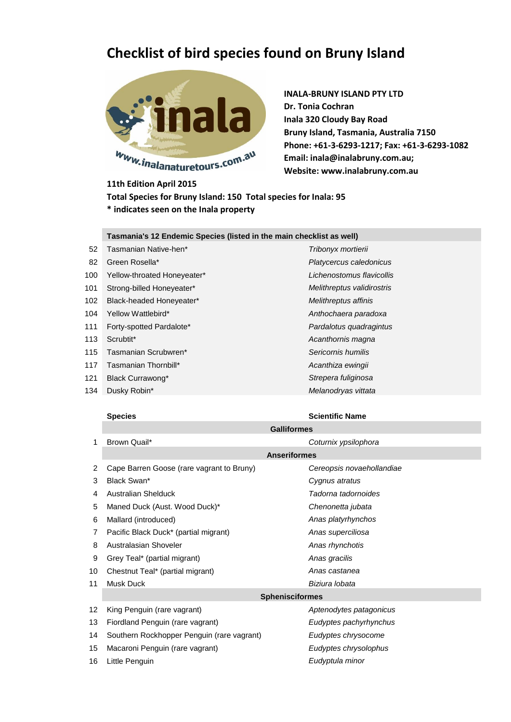## **Checklist of bird species found on Bruny Island**



**INALA-BRUNY ISLAND PTY LTD Dr. Tonia Cochran Inala 320 Cloudy Bay Road Bruny Island, Tasmania, Australia 7150 Phone: +61-3-6293-1217; Fax: +61-3-6293-1082 Email: inala@inalabruny.com.au; Website: www.inalabruny.com.au**

**11th Edition April 2015 Total Species for Bruny Island: 150 Total species for Inala: 95 \* indicates seen on the Inala property** 

## **Tasmania's 12 Endemic Species (listed in the main checklist as well)**

- Tasmanian Native-hen\* *Tribonyx mortierii* Green Rosella\* *Platycercus caledonicus* Yellow-throated Honeyeater\* *Lichenostomus flavicollis* Strong-billed Honeyeater\* *Melithreptus validirostris* Black-headed Honeyeater\* *Melithreptus affinis* Yellow Wattlebird\* *Anthochaera paradoxa* Forty-spotted Pardalote\* *Pardalotus quadragintus* Scrubtit\* *Acanthornis magna* Tasmanian Scrubwren\* *Sericornis humilis*
- Tasmanian Thornbill\* *Acanthiza ewingii*
- Black Currawong\* *Strepera fuliginosa*
- 

## Dusky Robin\* *Melanodryas vittata*

## **Species Scientific Name**

|    | <b>Galliformes</b>                         |                           |  |
|----|--------------------------------------------|---------------------------|--|
| 1  | Brown Quail*                               | Coturnix ypsilophora      |  |
|    | <b>Anseriformes</b>                        |                           |  |
| 2  | Cape Barren Goose (rare vagrant to Bruny)  | Cereopsis novaehollandiae |  |
| 3  | Black Swan*                                | Cygnus atratus            |  |
| 4  | <b>Australian Shelduck</b>                 | Tadorna tadornoides       |  |
| 5  | Maned Duck (Aust. Wood Duck)*              | Chenonetta jubata         |  |
| 6  | Mallard (introduced)                       | Anas platyrhynchos        |  |
| 7  | Pacific Black Duck* (partial migrant)      | Anas superciliosa         |  |
| 8  | Australasian Shoveler                      | Anas rhynchotis           |  |
| 9  | Grey Teal* (partial migrant)               | Anas gracilis             |  |
| 10 | Chestnut Teal* (partial migrant)           | Anas castanea             |  |
| 11 | Musk Duck                                  | Biziura lobata            |  |
|    | <b>Sphenisciformes</b>                     |                           |  |
| 12 | King Penguin (rare vagrant)                | Aptenodytes patagonicus   |  |
| 13 | Fiordland Penguin (rare vagrant)           | Eudyptes pachyrhynchus    |  |
| 14 | Southern Rockhopper Penguin (rare vagrant) | Eudyptes chrysocome       |  |

- Macaroni Penguin (rare vagrant) *Eudyptes chrysolophus*
- Little Penguin *Eudyptula minor*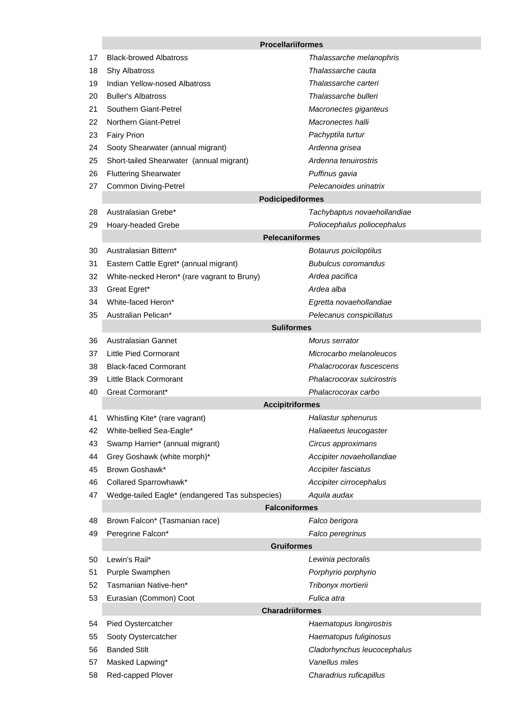|    | <b>Procellariiformes</b>                        |                                           |  |  |  |
|----|-------------------------------------------------|-------------------------------------------|--|--|--|
| 17 | <b>Black-browed Albatross</b>                   | Thalassarche melanophris                  |  |  |  |
| 18 | Shy Albatross                                   | Thalassarche cauta                        |  |  |  |
| 19 | Indian Yellow-nosed Albatross                   | Thalassarche carteri                      |  |  |  |
| 20 | <b>Buller's Albatross</b>                       | Thalassarche bulleri                      |  |  |  |
| 21 | Southern Giant-Petrel                           | Macronectes giganteus                     |  |  |  |
| 22 | Northern Giant-Petrel                           | Macronectes halli                         |  |  |  |
| 23 | <b>Fairy Prion</b>                              | Pachyptila turtur                         |  |  |  |
| 24 | Sooty Shearwater (annual migrant)               | Ardenna grisea                            |  |  |  |
| 25 | Short-tailed Shearwater (annual migrant)        | Ardenna tenuirostris                      |  |  |  |
| 26 | <b>Fluttering Shearwater</b>                    | Puffinus gavia                            |  |  |  |
| 27 | <b>Common Diving-Petrel</b>                     | Pelecanoides urinatrix                    |  |  |  |
|    | <b>Podicipediformes</b>                         |                                           |  |  |  |
| 28 | Australasian Grebe*                             | Tachybaptus novaehollandiae               |  |  |  |
| 29 | Hoary-headed Grebe                              | Poliocephalus poliocephalus               |  |  |  |
|    | <b>Pelecaniformes</b>                           |                                           |  |  |  |
| 30 | Australasian Bittern*                           | Botaurus poiciloptilus                    |  |  |  |
| 31 | Eastern Cattle Egret* (annual migrant)          | <b>Bubulcus coromandus</b>                |  |  |  |
| 32 | White-necked Heron* (rare vagrant to Bruny)     | Ardea pacifica                            |  |  |  |
| 33 | Great Egret*                                    | Ardea alba                                |  |  |  |
| 34 | White-faced Heron*                              | Egretta novaehollandiae                   |  |  |  |
| 35 | Australian Pelican*                             | Pelecanus conspicillatus                  |  |  |  |
|    | <b>Suliformes</b>                               |                                           |  |  |  |
| 36 | <b>Australasian Gannet</b>                      | Morus serrator                            |  |  |  |
| 37 | Little Pied Cormorant                           | Microcarbo melanoleucos                   |  |  |  |
| 38 | <b>Black-faced Cormorant</b>                    | Phalacrocorax fuscescens                  |  |  |  |
| 39 | Little Black Cormorant                          | Phalacrocorax sulcirostris                |  |  |  |
| 40 | Great Cormorant*                                | Phalacrocorax carbo                       |  |  |  |
|    | <b>Accipitriformes</b>                          |                                           |  |  |  |
| 41 | Whistling Kite* (rare vagrant)                  | Haliastur sphenurus                       |  |  |  |
| 42 | White-bellied Sea-Eagle*                        | Haliaeetus leucogaster                    |  |  |  |
| 43 | Swamp Harrier* (annual migrant)                 | Circus approximans                        |  |  |  |
| 44 | Grey Goshawk (white morph)*                     | Accipiter novaehollandiae                 |  |  |  |
| 45 | Brown Goshawk*                                  | Accipiter fasciatus                       |  |  |  |
| 46 | Collared Sparrowhawk*                           | Accipiter cirrocephalus                   |  |  |  |
| 47 | Wedge-tailed Eagle* (endangered Tas subspecies) | Aquila audax                              |  |  |  |
|    | <b>Falconiformes</b>                            |                                           |  |  |  |
| 48 | Brown Falcon* (Tasmanian race)                  | Falco berigora                            |  |  |  |
| 49 | Peregrine Falcon*                               | Falco peregrinus                          |  |  |  |
| 50 | <b>Gruiformes</b><br>Lewin's Rail*              |                                           |  |  |  |
| 51 | Purple Swamphen                                 | Lewinia pectoralis<br>Porphyrio porphyrio |  |  |  |
| 52 | Tasmanian Native-hen*                           | Tribonyx mortierii                        |  |  |  |
| 53 | Eurasian (Common) Coot                          | Fulica atra                               |  |  |  |
|    | <b>Charadriiformes</b>                          |                                           |  |  |  |
| 54 | Pied Oystercatcher                              | Haematopus longirostris                   |  |  |  |
| 55 | Sooty Oystercatcher                             | Haematopus fuliginosus                    |  |  |  |
| 56 | <b>Banded Stilt</b>                             | Cladorhynchus leucocephalus               |  |  |  |
| 57 | Masked Lapwing*                                 | Vanellus miles                            |  |  |  |
| 58 | Red-capped Plover                               | Charadrius ruficapillus                   |  |  |  |
|    |                                                 |                                           |  |  |  |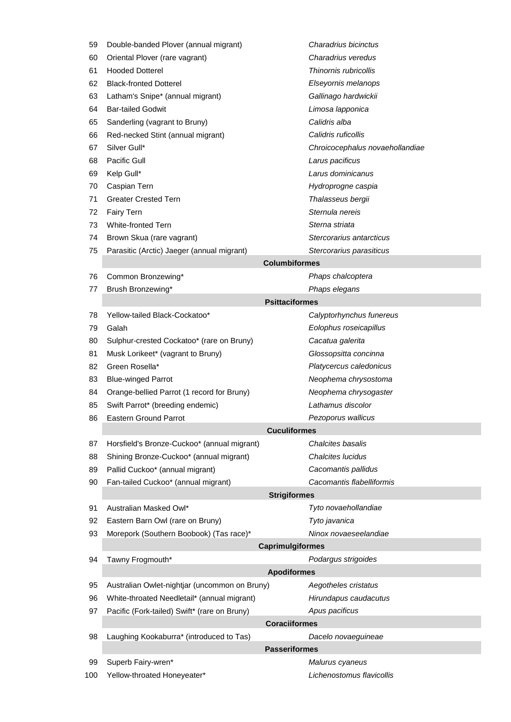| 59                   | Double-banded Plover (annual migrant)         | Charadrius bicinctus            |  |  |  |
|----------------------|-----------------------------------------------|---------------------------------|--|--|--|
| 60                   | Oriental Plover (rare vagrant)                | Charadrius veredus              |  |  |  |
| 61                   | <b>Hooded Dotterel</b>                        | Thinornis rubricollis           |  |  |  |
| 62                   | <b>Black-fronted Dotterel</b>                 | Elseyornis melanops             |  |  |  |
| 63                   | Latham's Snipe* (annual migrant)              | Gallinago hardwickii            |  |  |  |
| 64                   | <b>Bar-tailed Godwit</b>                      | Limosa lapponica                |  |  |  |
| 65                   | Sanderling (vagrant to Bruny)                 | Calidris alba                   |  |  |  |
| 66                   | Red-necked Stint (annual migrant)             | Calidris ruficollis             |  |  |  |
| 67                   | Silver Gull*                                  | Chroicocephalus novaehollandiae |  |  |  |
| 68                   | Pacific Gull                                  | Larus pacificus                 |  |  |  |
| 69                   | Kelp Gull*                                    | Larus dominicanus               |  |  |  |
| 70                   | Caspian Tern                                  | Hydroprogne caspia              |  |  |  |
| 71                   | <b>Greater Crested Tern</b>                   | Thalasseus bergii               |  |  |  |
| 72                   | Fairy Tern                                    | Sternula nereis                 |  |  |  |
| 73                   | <b>White-fronted Tern</b>                     | Sterna striata                  |  |  |  |
| 74                   | Brown Skua (rare vagrant)                     | Stercorarius antarcticus        |  |  |  |
| 75                   | Parasitic (Arctic) Jaeger (annual migrant)    | Stercorarius parasiticus        |  |  |  |
|                      | <b>Columbiformes</b>                          |                                 |  |  |  |
| 76                   | Common Bronzewing*                            | Phaps chalcoptera               |  |  |  |
| 77                   | Brush Bronzewing*                             | Phaps elegans                   |  |  |  |
|                      | <b>Psittaciformes</b>                         |                                 |  |  |  |
| 78                   | Yellow-tailed Black-Cockatoo*                 | Calyptorhynchus funereus        |  |  |  |
| 79                   | Galah                                         | Eolophus roseicapillus          |  |  |  |
| 80                   | Sulphur-crested Cockatoo* (rare on Bruny)     | Cacatua galerita                |  |  |  |
| 81                   | Musk Lorikeet* (vagrant to Bruny)             | Glossopsitta concinna           |  |  |  |
| 82                   | Green Rosella*                                | Platycercus caledonicus         |  |  |  |
| 83                   | <b>Blue-winged Parrot</b>                     | Neophema chrysostoma            |  |  |  |
| 84                   | Orange-bellied Parrot (1 record for Bruny)    | Neophema chrysogaster           |  |  |  |
| 85                   | Swift Parrot* (breeding endemic)              | Lathamus discolor               |  |  |  |
| 86                   | <b>Eastern Ground Parrot</b>                  | Pezoporus wallicus              |  |  |  |
|                      | <b>Cuculiformes</b>                           |                                 |  |  |  |
| 87                   | Horsfield's Bronze-Cuckoo* (annual migrant)   | Chalcites basalis               |  |  |  |
| 88                   | Shining Bronze-Cuckoo* (annual migrant)       | Chalcites lucidus               |  |  |  |
| 89                   | Pallid Cuckoo* (annual migrant)               | Cacomantis pallidus             |  |  |  |
| 90                   | Fan-tailed Cuckoo* (annual migrant)           | Cacomantis flabelliformis       |  |  |  |
|                      | <b>Strigiformes</b>                           |                                 |  |  |  |
| 91                   | Australian Masked Owl*                        | Tyto novaehollandiae            |  |  |  |
| 92                   | Eastern Barn Owl (rare on Bruny)              | Tyto javanica                   |  |  |  |
| 93                   | Morepork (Southern Boobook) (Tas race)*       | Ninox novaeseelandiae           |  |  |  |
|                      | <b>Caprimulgiformes</b>                       |                                 |  |  |  |
| 94                   | Tawny Frogmouth*                              | Podargus strigoides             |  |  |  |
|                      | <b>Apodiformes</b>                            |                                 |  |  |  |
| 95                   | Australian Owlet-nightjar (uncommon on Bruny) | Aegotheles cristatus            |  |  |  |
| 96                   | White-throated Needletail* (annual migrant)   | Hirundapus caudacutus           |  |  |  |
| 97                   | Pacific (Fork-tailed) Swift* (rare on Bruny)  | Apus pacificus                  |  |  |  |
| <b>Coraciiformes</b> |                                               |                                 |  |  |  |
| 98                   | Laughing Kookaburra* (introduced to Tas)      | Dacelo novaeguineae             |  |  |  |
|                      | <b>Passeriformes</b>                          |                                 |  |  |  |
| 99                   | Superb Fairy-wren*                            | Malurus cyaneus                 |  |  |  |
| 100                  | Yellow-throated Honeyeater*                   | Lichenostomus flavicollis       |  |  |  |